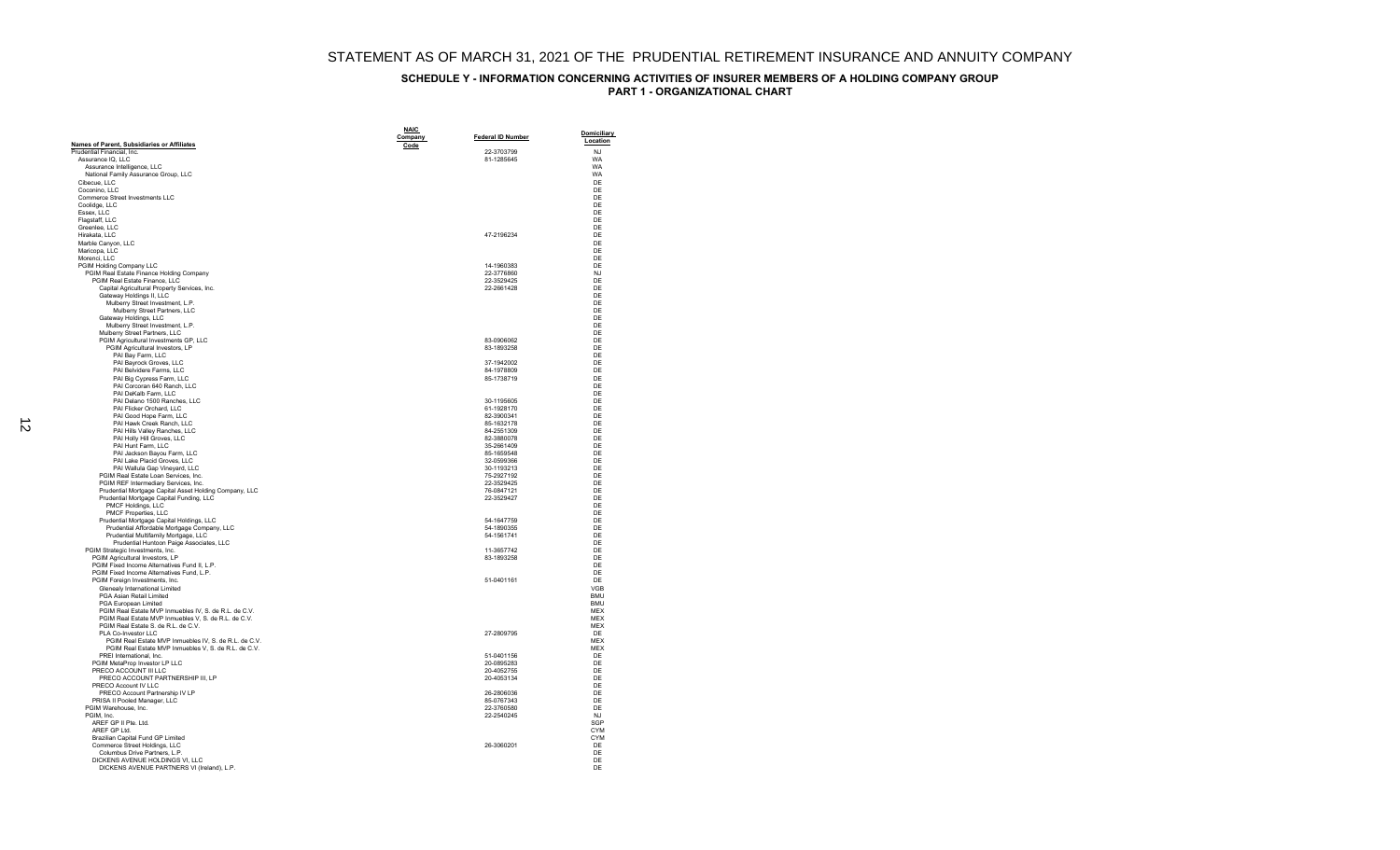|                                                                                                               | <b>NAIC</b> |                          | <b>Domiciliary</b>       |
|---------------------------------------------------------------------------------------------------------------|-------------|--------------------------|--------------------------|
| Names of Parent, Subsidiaries or Affiliates                                                                   | Company     | <b>Federal ID Number</b> | Location                 |
| Prudential Financial, Inc.                                                                                    | Code        | 22-3703799               | N.1                      |
| Assurance IQ, LLC                                                                                             |             | 81-1285645               | WA                       |
| Assurance Intelligence, LLC<br>National Family Assurance Group, LLC                                           |             |                          | <b>WA</b><br>WA          |
| Cibecue, LLC                                                                                                  |             |                          | DE                       |
| Coconino, LLC                                                                                                 |             |                          | DE                       |
| Commerce Street Investments LLC                                                                               |             |                          | DE<br>DF                 |
| Coolidge, LLC<br>Essex, LLC                                                                                   |             |                          | DE                       |
| Flagstaff, LLC                                                                                                |             |                          | DF                       |
| Greenlee, LLC                                                                                                 |             |                          | DE                       |
| Hirakata, LLC<br>Marble Canyon, LLC                                                                           |             | 47-2196234               | DE<br>DE                 |
| Maricopa, LLC                                                                                                 |             |                          | DE                       |
| Morenci, LLC                                                                                                  |             |                          | DE                       |
| PGIM Holding Company LLC<br>PGIM Real Estate Finance Holding Company                                          |             | 14-1960383<br>22-3776860 | DF<br><b>NJ</b>          |
| PGIM Real Estate Finance, LLC                                                                                 |             | 22-3529425               | DE                       |
| Capital Agricultural Property Services, Inc.                                                                  |             | 22-2661428               | DE                       |
| Gateway Holdings II, LLC                                                                                      |             |                          | DE                       |
| Mulberry Street Investment, L.P.<br>Mulberry Street Partners, LLC                                             |             |                          | DE<br>DF                 |
| Gateway Holdings, LLC                                                                                         |             |                          | DE                       |
| Mulberry Street Investment, L.P.                                                                              |             |                          | DF                       |
| Mulberry Street Partners, LLC<br>PGIM Agricultural Investments GP, LLC                                        |             | 83-0906062               | DE<br>DE                 |
| PGIM Agricultural Investors, LP                                                                               |             | 83-1893258               | DF                       |
| PAI Bay Farm, LLC                                                                                             |             |                          | DE                       |
| PAI Bayrock Groves, LLC<br>PAI Belvidere Farms, LLC                                                           |             | 37-1942002<br>84-1978809 | DE<br>DE                 |
| PAI Big Cypress Farm, LLC                                                                                     |             | 85-1738719               | DE                       |
| PAI Corcoran 640 Ranch, LLC                                                                                   |             |                          | DF                       |
| PAI DeKalb Farm, LLC<br>PAI Delano 1500 Ranches, LLC                                                          |             | 30-1195605               | DE<br>DF                 |
| PAI Flicker Orchard, LLC                                                                                      |             | 61-1928170               | DE                       |
| PAI Good Hope Farm, LLC                                                                                       |             | 82-3900341               | DF                       |
| PAI Hawk Creek Ranch, LLC                                                                                     |             | 85-1632178<br>84-2551309 | DE<br>DE                 |
| PAI Hills Valley Ranches, LLC<br>PAI Holly Hill Groves, LLC                                                   |             | 82-3880078               | DE                       |
| PAI Hunt Farm, LLC                                                                                            |             | 35-2661409               | DE                       |
| PAI Jackson Bayou Farm, LLC                                                                                   |             | 85-1659548               | DF                       |
| PAI Lake Placid Groves, LLC<br>PAI Wallula Gap Vineyard, LLC                                                  |             | 32-0599366<br>30-1193213 | DE<br>DE                 |
| PGIM Real Estate Loan Services, Inc.                                                                          |             | 75-2927192               | DE                       |
| PGIM REF Intermediary Services, Inc.                                                                          |             | 22-3529425               | DE                       |
| Prudential Mortgage Capital Asset Holding Company, LLC<br>Prudential Mortgage Capital Funding, LLC            |             | 76-0847121<br>22-3529427 | DF<br>DE                 |
| PMCF Holdings, LLC                                                                                            |             |                          | DE                       |
| PMCF Properties, LLC                                                                                          |             |                          | DE                       |
| Prudential Mortgage Capital Holdings, LLC<br>Prudential Affordable Mortgage Company, LLC                      |             | 54-1647759<br>54-1890355 | DE<br>DE                 |
| Prudential Multifamily Mortgage, LLC                                                                          |             | 54-1561741               | DE                       |
| Prudential Huntoon Paige Associates, LLC                                                                      |             |                          | DE                       |
| PGIM Strategic Investments, Inc.<br>PGIM Agricultural Investors, LP                                           |             | 11-3657742<br>83-1893258 | DE<br>DE                 |
| PGIM Fixed Income Alternatives Fund II, L.P.                                                                  |             |                          | DE                       |
| PGIM Fixed Income Alternatives Fund, L.P.                                                                     |             |                          | DF                       |
| PGIM Foreign Investments, Inc.<br>Glenealy International Limited                                              |             | 51-0401161               | DE<br>VGB                |
| PGA Asian Retail Limited                                                                                      |             |                          | <b>BMU</b>               |
| <b>PGA European Limited</b>                                                                                   |             |                          | <b>BMU</b>               |
| PGIM Real Estate MVP Inmuebles IV, S. de R.L. de C.V.<br>PGIM Real Estate MVP Inmuebles V, S. de R.L. de C.V. |             |                          | <b>MEX</b><br><b>MEX</b> |
| PGIM Real Estate S. de R.L. de C.V.                                                                           |             |                          | MEX                      |
| PLA Co-Investor LLC                                                                                           |             | 27-2809795               | DE                       |
| PGIM Real Estate MVP Inmuebles IV, S. de R.L. de C.V.                                                         |             |                          | <b>MFX</b>               |
| PGIM Real Estate MVP Inmuebles V, S. de R.L. de C.V.<br>PREI International, Inc.                              |             | 51-0401156               | <b>MEX</b><br>DE         |
| PGIM MetaProp Investor LP LLC                                                                                 |             | 20-0895283               | DE                       |
| PRECO ACCOUNT III LLC                                                                                         |             | 20-4052755               | DF                       |
| PRECO ACCOUNT PARTNERSHIP III, LP<br>PRECO Account IV I I C                                                   |             | 20-4053134               | DE<br>DF                 |
| PRECO Account Partnership IV LP                                                                               |             | 26-2806036               | DE                       |
| PRISA II Pooled Manager, LLC                                                                                  |             | 85-0767343               | DE                       |
| PGIM Warehouse, Inc.<br>PGIM, Inc.                                                                            |             | 22-3760580<br>22-2540245 | DE<br><b>NJ</b>          |
| AREF GP II Pte. Ltd.                                                                                          |             |                          | SGP                      |
| AREF GP Ltd.                                                                                                  |             |                          | <b>CYM</b>               |
| Brazilian Capital Fund GP Limited                                                                             |             |                          | <b>CYM</b>               |
| Commerce Street Holdings, LLC<br>Columbus Drive Partners, L.P.                                                |             | 26-3060201               | DE<br>DE                 |
| DICKENS AVENUE HOLDINGS VI, LLC                                                                               |             |                          | DE                       |
| DICKENS AVENUE PARTNERS VI (Ireland), L.P.                                                                    |             |                          | DF                       |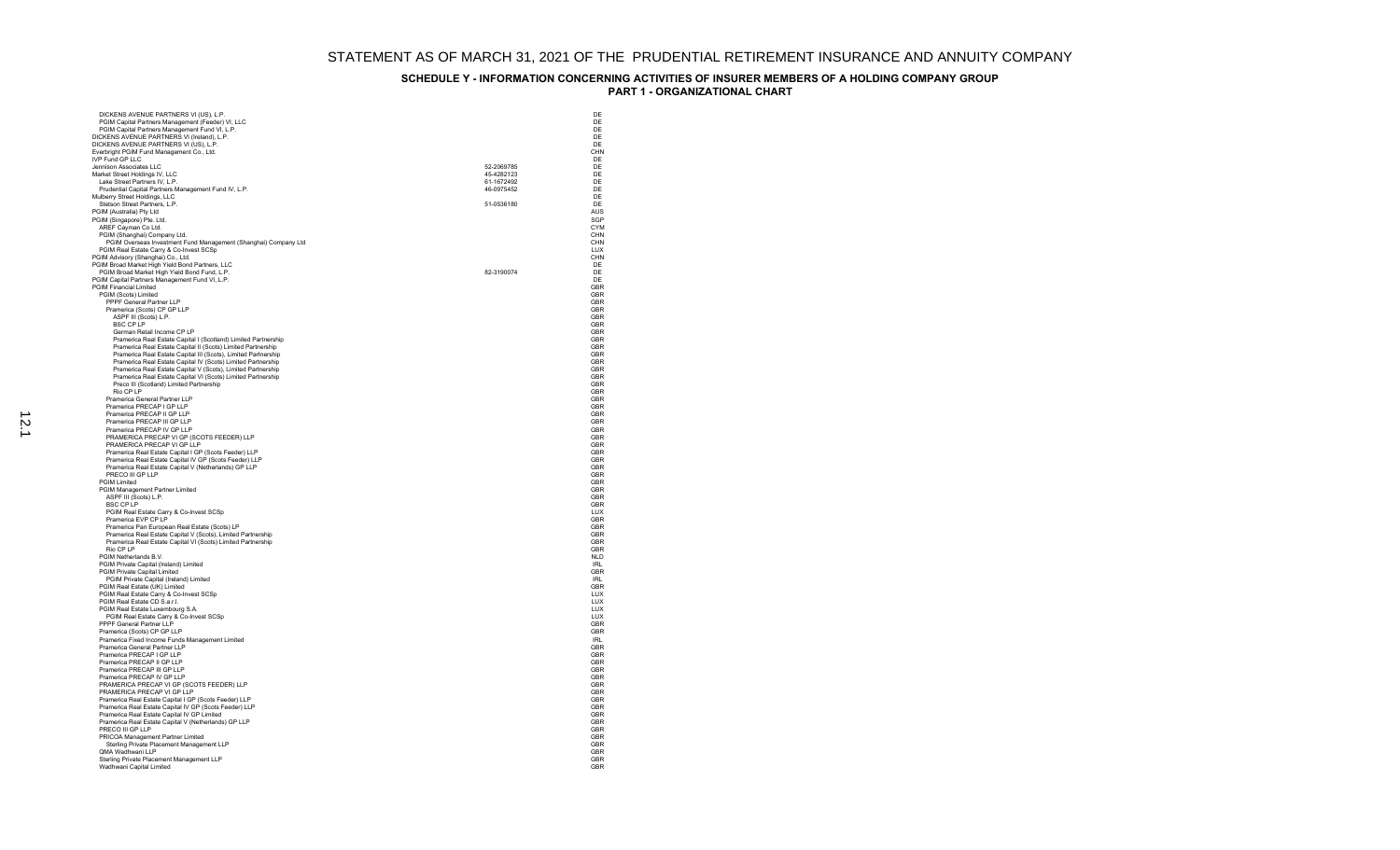| PGIM Capital Partners Management (Feeder) VI, LLC                                            | DE                |
|----------------------------------------------------------------------------------------------|-------------------|
|                                                                                              | DE<br>DE          |
| PGIM Capital Partners Management Fund VI, L.P.<br>DICKENS AVENUE PARTNERS VI (Ireland), L.P. | DF                |
| DICKENS AVENUE PARTNERS VI (US), L.P.                                                        | DE                |
| Everbright PGIM Fund Management Co., Ltd.                                                    | CHN               |
| <b>IVP Fund GP LLC</b>                                                                       | DE                |
| Jennison Associates LLC                                                                      | 52-2069785<br>DE  |
| Market Street Holdings IV, LLC                                                               | DF<br>45-4282123  |
| Lake Street Partners IV, L.P.                                                                | 61-1672492<br>DE  |
| Prudential Capital Partners Management Fund IV, L.P.                                         | 46-0975452<br>DF  |
| Mulberry Street Holdings, LLC                                                                | DE                |
| Stetson Street Partners, L.P.                                                                | 51-0536180<br>DE  |
| PGIM (Australia) Pty Ltd<br>PGIM (Singapore) Pte. Ltd.                                       | AUS<br>SGP        |
| AREF Cayman Co Ltd.                                                                          | CYM               |
| PGIM (Shanghai) Company Ltd.                                                                 | CHN               |
| PGIM Overseas Investment Fund Management (Shanghai) Company Ltd                              | CHN               |
| PGIM Real Estate Carry & Co-Invest SCSp                                                      | LUX               |
| PGIM Advisory (Shanghai) Co., Ltd.                                                           | CHN               |
| PGIM Broad Market High Yield Bond Partners, LLC                                              | DE                |
| PGIM Broad Market High Yield Bond Fund, L.P.                                                 | 82-3190074<br>DF  |
| PGIM Capital Partners Management Fund VI, L.P.                                               | DE                |
| <b>PGIM Financial Limited</b>                                                                | GBR               |
| PGIM (Scots) Limited<br>PPPF General Partner LLP                                             | GBR<br>GBR        |
| Pramerica (Scots) CP GP LLP                                                                  | GBR               |
| ASPF III (Scots) L.P.                                                                        | GBR               |
| <b>BSC CP LP</b>                                                                             | GBR               |
| German Retail Income CP LP                                                                   | GBR               |
| Pramerica Real Estate Capital I (Scotland) Limited Partnership                               | GBR               |
| Pramerica Real Estate Capital II (Scots) Limited Partnership                                 | GBR               |
| Pramerica Real Estate Capital III (Scots), Limited Partnership                               | <b>GBR</b>        |
| Pramerica Real Estate Capital IV (Scots) Limited Partnership                                 | GBR               |
| Pramerica Real Estate Capital V (Scots), Limited Partnership                                 | GBR               |
| Pramerica Real Estate Capital VI (Scots) Limited Partnership                                 | GBR               |
| Preco III (Scotland) Limited Partnership<br>Rio CP I P                                       | GBR<br>GBR        |
| Pramerica General Partner LLP                                                                | GBR               |
| Pramerica PRECAP I GP LLP                                                                    | GBR               |
| Pramerica PRECAP II GP LLP                                                                   | GBR               |
| Pramerica PRECAP III GP LLP                                                                  | GBR               |
| Pramerica PRECAP IV GP LLP                                                                   | GBR               |
| PRAMERICA PRECAP VI GP (SCOTS FEEDER) LLP                                                    | GBR               |
| PRAMERICA PRECAP VI GP LLP                                                                   | GBR               |
| Pramerica Real Estate Capital I GP (Scots Feeder) LLP                                        | GBR               |
| Pramerica Real Estate Capital IV GP (Scots Feeder) LLP                                       | GBR               |
|                                                                                              |                   |
| Pramerica Real Estate Capital V (Netherlands) GP LLP                                         | GBR               |
| PRECO III GP LLP                                                                             | GBR               |
| <b>PGIM Limited</b>                                                                          | <b>GBR</b>        |
| PGIM Management Partner Limited                                                              | GBR               |
| ASPF III (Scots) L.P.<br><b>BSC CPIP</b>                                                     | GBR<br>GBR        |
|                                                                                              | LUX               |
| PGIM Real Estate Carry & Co-Invest SCSp<br>Pramerica EVP CP LP                               | GBR               |
| Pramerica Pan European Real Estate (Scots) LP                                                | GBR               |
| Pramerica Real Estate Capital V (Scots), Limited Partnership                                 | GBR               |
| Pramerica Real Estate Capital VI (Scots) Limited Partnership                                 | GBR               |
| Rio CP LP                                                                                    | GBR               |
| PGIM Netherlands B.V.                                                                        | <b>NLD</b>        |
| PGIM Private Capital (Ireland) Limited                                                       | IRI               |
| PGIM Private Capital Limited                                                                 | GBR<br><b>IRI</b> |
| PGIM Private Capital (Ireland) Limited                                                       | GBR               |
| PGIM Real Estate (UK) Limited<br>PGIM Real Estate Carry & Co-Invest SCSp                     | TUX               |
| PGIM Real Estate CD S.a.r.l.                                                                 | LUX               |
| PGIM Real Estate Luxembourg S.A.                                                             | LUX               |
| PGIM Real Estate Carry & Co-Invest SCSp                                                      | 111X              |
| PPPF General Partner LLP                                                                     | GBR               |
| Pramerica (Scots) CP GP LLP                                                                  | GBR               |
| Pramerica Fixed Income Funds Management Limited                                              | <b>IRL</b>        |
| Pramerica General Partner LLP                                                                | GBR<br>GBR        |
| Pramerica PRECAP I GP LLP<br>Pramerica PRECAP II GP LLP                                      | GBR               |
| Pramerica PRECAP III GP LLP                                                                  | GBR               |
| Pramerica PRECAP IV GP LLP                                                                   | GBR               |
| PRAMERICA PRECAP VI GP (SCOTS FEEDER) LLP                                                    | GBR               |
| PRAMERICA PRECAP VI GP LLP                                                                   | GBR               |
| Pramerica Real Estate Capital I GP (Scots Feeder) LLP                                        | GBR               |
| Pramerica Real Estate Capital IV GP (Scots Feeder) LLP                                       | GBR               |
| Pramerica Real Estate Capital IV GP Limited                                                  | GBR               |
| Pramerica Real Estate Capital V (Netherlands) GP LLP                                         | GBR               |
| PRECO III GP LLP                                                                             | GBR               |
| PRICOA Management Partner Limited                                                            | GBR<br>GBR        |
| Sterling Private Placement Management LLP                                                    |                   |
| QMA Wadhwani LLP<br>Sterling Private Placement Management LLP                                | GBR<br>GBR        |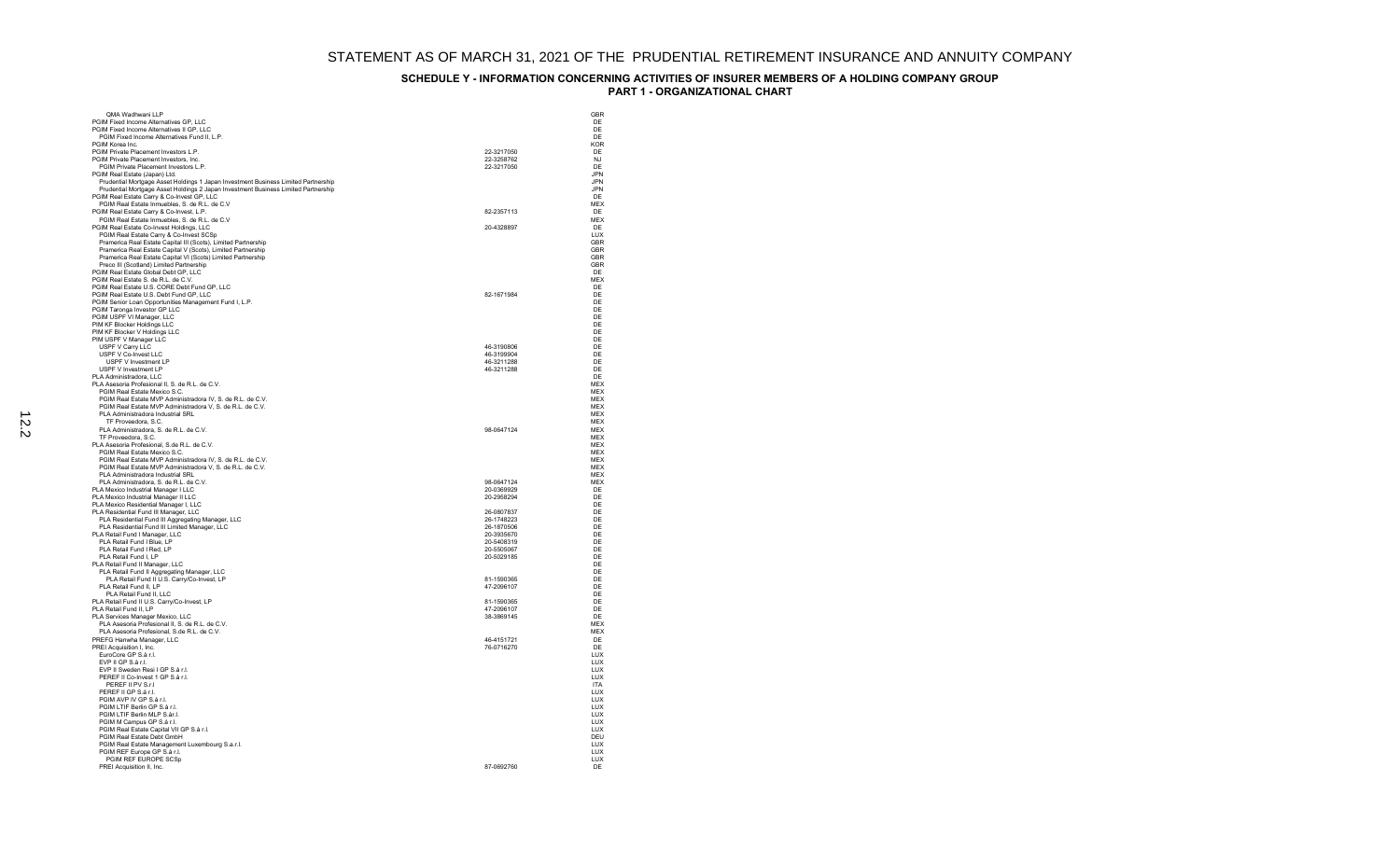|                                                                                                                                                                          |                          | GBR                      |
|--------------------------------------------------------------------------------------------------------------------------------------------------------------------------|--------------------------|--------------------------|
| OMA Wadhwani I I P<br>PGIM Fixed Income Alternatives GP, LLC                                                                                                             |                          | DE                       |
| PGIM Fixed Income Alternatives II GP, LLC                                                                                                                                |                          | DE                       |
| PGIM Fixed Income Alternatives Fund II, L.P.                                                                                                                             |                          | DF                       |
| PGIM Korea Inc.                                                                                                                                                          |                          | <b>KOR</b>               |
| PGIM Private Placement Investors L.P.                                                                                                                                    | 22-3217050               | DE                       |
| PGIM Private Placement Investors, Inc.                                                                                                                                   | 22-3258762               | N.I                      |
| PGIM Private Placement Investors L.P.                                                                                                                                    | 22-3217050               | DE                       |
| PGIM Real Estate (Japan) Ltd.                                                                                                                                            |                          | <b>JPN</b><br><b>JPN</b> |
| Prudential Mortgage Asset Holdings 1 Japan Investment Business Limited Partnership<br>Prudential Mortgage Asset Holdings 2 Japan Investment Business Limited Partnership |                          | <b>JPN</b>               |
| PGIM Real Estate Carry & Co-Invest GP, LLC                                                                                                                               |                          | DF                       |
| PGIM Real Estate Inmuebles, S. de R.L. de C.V                                                                                                                            |                          | <b>MEX</b>               |
| PGIM Real Estate Carry & Co-Invest, L.P.                                                                                                                                 | 82-2357113               | DF                       |
| PGIM Real Estate Inmuebles, S. de R.L. de C.V                                                                                                                            |                          | <b>MFX</b>               |
| PGIM Real Estate Co-Invest Holdings, LLC                                                                                                                                 | 20-4328897               | DE<br>TUX                |
| PGIM Real Estate Carry & Co-Invest SCSp<br>Pramerica Real Estate Capital III (Scots), Limited Partnership                                                                |                          | GBR                      |
| Pramerica Real Estate Capital V (Scots), Limited Partnership                                                                                                             |                          | GBR                      |
| Pramerica Real Estate Capital VI (Scots) Limited Partnership                                                                                                             |                          | <b>GBR</b>               |
| Preco III (Scotland) Limited Partnership                                                                                                                                 |                          | <b>GBR</b>               |
| PGIM Real Estate Global Debt GP, LLC                                                                                                                                     |                          | DE                       |
| PGIM Real Estate S. de R.L. de C.V.                                                                                                                                      |                          | <b>MEX</b>               |
| PGIM Real Estate U.S. CORE Debt Fund GP, LLC                                                                                                                             |                          | DE                       |
| PGIM Real Estate U.S. Debt Fund GP, LLC<br>PGIM Senior Loan Opportunities Management Fund I, L.P.                                                                        | 82-1671984               | DE<br>DF                 |
| PGIM Taronga Investor GP LLC                                                                                                                                             |                          | DE                       |
| PGIM USPF VI Manager, LLC                                                                                                                                                |                          | DE                       |
| PIM KF Blocker Holdings LLC                                                                                                                                              |                          | DF                       |
| PIM KF Blocker V Holdings LLC                                                                                                                                            |                          | DE                       |
| PIM USPF V Manager LLC                                                                                                                                                   |                          | DE                       |
| USPF V Carry LLC                                                                                                                                                         | 46-3190806               | DE                       |
| USPF V Co-Invest LLC<br>USPF V Investment LP                                                                                                                             | 46-3199904<br>46-3211288 | DE<br>DE                 |
| USPF V Investment LP                                                                                                                                                     | 46-3211288               | DF                       |
| PLA Administradora, LLC                                                                                                                                                  |                          | DF                       |
| PLA Asesoria Profesional II, S. de R.L. de C.V.                                                                                                                          |                          | <b>MFX</b>               |
| PGIM Real Estate Mexico S.C.                                                                                                                                             |                          | <b>MEX</b>               |
| PGIM Real Estate MVP Administradora IV, S. de R.L. de C.V.                                                                                                               |                          | <b>MEX</b>               |
| PGIM Real Estate MVP Administradora V, S. de R.L. de C.V.                                                                                                                |                          | <b>MFX</b>               |
| PLA Administradora Industrial SRL<br>TF Proveedora, S.C.                                                                                                                 |                          | <b>MEX</b><br><b>MEX</b> |
| PLA Administradora, S. de R.L. de C.V.                                                                                                                                   | 98-0647124               | <b>MEX</b>               |
| TF Proveedora, S.C.                                                                                                                                                      |                          | <b>MEX</b>               |
| PLA Asesoria Profesional, S.de R.L. de C.V.                                                                                                                              |                          | <b>MFX</b>               |
| PGIM Real Estate Mexico S.C.                                                                                                                                             |                          | MEX                      |
| PGIM Real Estate MVP Administradora IV, S. de R.L. de C.V.                                                                                                               |                          | <b>MEX</b>               |
| PGIM Real Estate MVP Administradora V, S. de R.L. de C.V.                                                                                                                |                          | <b>MFX</b>               |
| PLA Administradora Industrial SRL<br>PLA Administradora, S. de R.L. de C.V.                                                                                              | 98-0647124               | <b>MEX</b><br><b>MEX</b> |
| PLA Mexico Industrial Manager I LLC                                                                                                                                      | 20-0369929               | DE                       |
| PLA Mexico Industrial Manager II LLC                                                                                                                                     | 20-2958294               | DE                       |
| PLA Mexico Residential Manager I, LLC                                                                                                                                    |                          | DE                       |
| PLA Residential Fund III Manager, LLC                                                                                                                                    | 26-0807837               | DE                       |
| PLA Residential Fund III Aggregating Manager, LLC                                                                                                                        | 26-1748223               | DE                       |
| PLA Residential Fund III Limited Manager, LLC                                                                                                                            | 26-1870506<br>20-3935670 | DE<br>DE                 |
| PLA Retail Fund I Manager, LLC<br>PLA Retail Fund I Blue, LP                                                                                                             | 20-5408319               | DE                       |
| PLA Retail Fund I Red. I P                                                                                                                                               | 20-5505067               | DF                       |
| PLA Retail Fund I, LP                                                                                                                                                    | 20-5029185               | DF                       |
| PLA Retail Fund II Manager, LLC                                                                                                                                          |                          | DF                       |
| PLA Retail Fund II Aggregating Manager, LLC                                                                                                                              |                          | DF                       |
| PLA Retail Fund II U.S. Carry/Co-Invest, LP                                                                                                                              | 81-1590365               | DE                       |
| PLA Retail Fund II, LP                                                                                                                                                   | 47-2096107               | DE<br>DE                 |
| PLA Retail Fund II, LLC<br>PLA Retail Fund II U.S. Carry/Co-Invest, LP                                                                                                   | 81-1590365               | DE                       |
| PLA Retail Fund II, LP                                                                                                                                                   | 47-2096107               | DE                       |
| PLA Services Manager Mexico, LLC                                                                                                                                         | 38-3869145               | DE                       |
| PLA Asesoria Profesional II, S. de R.L. de C.V.                                                                                                                          |                          | <b>MEX</b>               |
| PLA Asesoria Profesional, S.de R.L. de C.V.                                                                                                                              |                          | <b>MFX</b>               |
| PREFG Hanwha Manager, LLC                                                                                                                                                | 46-4151721               | DE                       |
| PREI Acquisition I, Inc.<br>EuroCore GP S.à r.l.                                                                                                                         | 76-0716270               | DE<br>TUX                |
| EVP II GP S.à r.l.                                                                                                                                                       |                          | LUX                      |
| EVP II Sweden Resi I GP S.à r.l.                                                                                                                                         |                          | LUX                      |
| PERFF II Co-Invest 1 GP S à r.l.                                                                                                                                         |                          | <b>TUX</b>               |
| PEREF II PV S.r.I                                                                                                                                                        |                          | <b>ITA</b>               |
| PEREF II GP S.á r.l.                                                                                                                                                     |                          | <b>LUX</b>               |
| PGIM AVP IV GP S.à r.l.                                                                                                                                                  |                          | <b>TUX</b>               |
| PGIM LTIF Berlin GP S.à r.l.<br>PGIM I TIF Berlin MI P S àr L                                                                                                            |                          | LUX<br><b>TUX</b>        |
| PGIM M Campus GP S.á r.l.                                                                                                                                                |                          | <b>LUX</b>               |
| PGIM Real Estate Capital VII GP S.à r.l.                                                                                                                                 |                          | LUX                      |
| PGIM Real Estate Debt GmbH                                                                                                                                               |                          | DEU                      |
| PGIM Real Estate Management Luxembourg S.a.r.l.                                                                                                                          |                          | LUX                      |
| PGIM REF Europe GP S.à r.l.                                                                                                                                              |                          | LUX                      |
| PGIM REF EUROPE SCSp                                                                                                                                                     |                          | LUX                      |
| PREI Acquisition II, Inc.                                                                                                                                                | 87-0692760               | DE                       |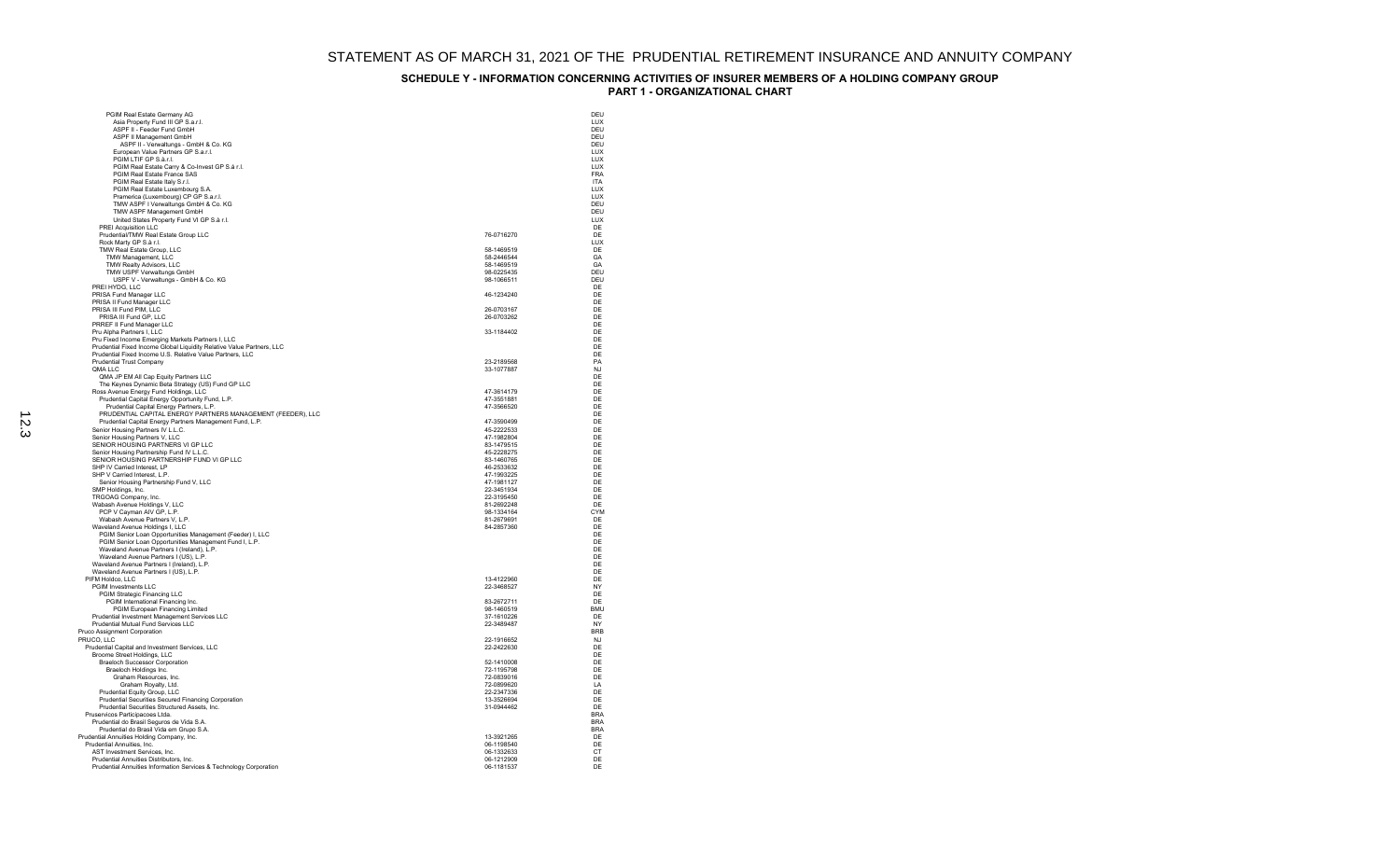| PGIM Real Estate Germany AG                                                                   |                          | DEU               |
|-----------------------------------------------------------------------------------------------|--------------------------|-------------------|
| Asia Property Fund III GP S.a.r.I.                                                            |                          | LUX               |
| ASPF II - Feeder Fund GmbH                                                                    |                          | DEU               |
| ASPF II Management GmbH                                                                       |                          | DFU               |
| ASPF II - Verwaltungs - GmbH & Co. KG<br>European Value Partners GP S.a.r.l.                  |                          | DEU<br><b>TUX</b> |
| PGIM LTIF GP S.à.r.l.                                                                         |                          | <b>LUX</b>        |
| PGIM Real Estate Carry & Co-Invest GP S.á r.l.                                                |                          | LUX               |
| PGIM Real Estate France SAS                                                                   |                          | <b>FRA</b>        |
| PGIM Real Estate Italy S.r.l.                                                                 |                          | <b>ITA</b>        |
| PGIM Real Estate Luxembourg S.A.<br>Pramerica (Luxembourg) CP GP S.a.r.l.                     |                          | LUX<br><b>TUX</b> |
| TMW ASPF I Verwaltungs GmbH & Co. KG                                                          |                          | DEU               |
| TMW ASPF Management GmbH                                                                      |                          | DEU               |
| United States Property Fund VI GP S.à r.l.                                                    |                          | <b>TUX</b>        |
| PREI Acquisition LLC                                                                          |                          | DF                |
| Prudential/TMW Real Estate Group LLC                                                          | 76-0716270               | DE                |
| Rock Marty GP S.à r.l.<br>TMW Real Estate Group, LLC                                          | 58-1469519               | LUX<br>DE         |
| TMW Management, LLC                                                                           | 58-2446544               | GA                |
| TMW Realty Advisors, LLC                                                                      | 58-1469519               | GA                |
| TMW USPF Verwaltungs GmbH                                                                     | 98-0225435               | DEU               |
| USPF V - Verwaltungs - GmbH & Co. KG<br>PREI HYDG, LLC                                        | 98-1066511               | DEU<br>DE         |
| PRISA Fund Manager LLC                                                                        | 46-1234240               | DF                |
| PRISA II Fund Manager LLC                                                                     |                          | DF                |
| PRISA III Fund PIM, LLC                                                                       | 26-0703167               | DF                |
| PRISA III Fund GP, LLC                                                                        | 26-0703262               | DE                |
| PRREF II Fund Manager LLC<br>Pru Alpha Partners I. LLC                                        | 33-1184402               | DF<br>DE          |
| Pru Fixed Income Emerging Markets Partners I, LLC                                             |                          | DE                |
| Prudential Fixed Income Global Liquidity Relative Value Partners, LLC                         |                          | DE                |
| Prudential Fixed Income U.S. Relative Value Partners, LLC                                     |                          | DF                |
| <b>Prudential Trust Company</b>                                                               | 23-2189568               | PA                |
| QMA LLC                                                                                       | 33-1077887               | <b>NJ</b><br>DF   |
| QMA JP EM All Cap Equity Partners LLC<br>The Keynes Dynamic Beta Strategy (US) Fund GP LLC    |                          | DF                |
| Ross Avenue Energy Fund Holdings, LLC                                                         | 47-3614179               | DE                |
| Prudential Capital Energy Opportunity Fund, L.P.                                              | 47-3551881               | DF                |
| Prudential Capital Energy Partners, L.P.                                                      | 47-3566520               | DF                |
| PRUDENTIAL CAPITAL ENERGY PARTNERS MANAGEMENT (FEEDER), LLC                                   | 47-3590499               | DF<br>DE          |
| Prudential Capital Energy Partners Management Fund, L.P.<br>Senior Housing Partners IV L.L.C. | 45-2222533               | DE                |
| Senior Housing Partners V, LLC                                                                | 47-1982804               | DF                |
| SENIOR HOUSING PARTNERS VI GP LLC                                                             | 83-1479515               | DE                |
| Senior Housing Partnership Fund IV L.L.C.                                                     | 45-2228275               | DE                |
| SENIOR HOUSING PARTNERSHIP FUND VI GP LLC                                                     | 83-1460765               | DE                |
| SHP IV Carried Interest, LP<br>SHP V Carried Interest, L.P.                                   | 46-2533632<br>47-1993225 | DE<br>DE          |
| Senior Housing Partnership Fund V, LLC                                                        | 47-1981127               | DE                |
| SMP Holdings, Inc.                                                                            | 22-3451934               | DF                |
| TRGOAG Company, Inc.                                                                          | 22-3195450               | DF                |
| Wabash Avenue Holdings V, LLC                                                                 | 81-2692248               | DE                |
| PCP V Cayman AIV GP, L.P.<br>Wabash Avenue Partners V, L.P.                                   | 98-1334164<br>81-2679691 | <b>CYM</b><br>DE  |
| Waveland Avenue Holdings I, LLC                                                               | 84-2857360               | DE                |
| PGIM Senior Loan Opportunities Management (Feeder) I, LLC                                     |                          | DE                |
| PGIM Senior Loan Opportunities Management Fund I, L.P.                                        |                          | DE                |
| Waveland Avenue Partners I (Ireland), L.P.                                                    |                          | DF<br>DE          |
| Waveland Avenue Partners I (US), L.P.<br>Waveland Avenue Partners I (Ireland), L.P.           |                          | DF                |
| Waveland Avenue Partners I (US), L.P.                                                         |                          | DF                |
| PIFM Holdco, LLC                                                                              | 13-4122960               | DF                |
| PGIM Investments LLC                                                                          | 22-3468527               | NY                |
| PGIM Strategic Financing LLC<br>PGIM International Financing Inc.                             | 83-2672711               | DF<br>DE          |
| PGIM European Financing Limited                                                               | 98-1460519               | <b>BMU</b>        |
| Prudential Investment Management Services LLC                                                 | 37-1610226               | DF                |
| Prudential Mutual Fund Services LLC                                                           | 22-3489487               | NY                |
| Pruco Assignment Corporation                                                                  |                          | <b>BRB</b>        |
| PRUCO. LLC<br>Prudential Capital and Investment Services, LLC                                 | 22-1916652<br>22-2422630 | N.I<br>DF         |
| Broome Street Holdings, LLC                                                                   |                          | DE                |
| <b>Braeloch Successor Corporation</b>                                                         | 52-1410008               | DF                |
| Braeloch Holdings Inc.                                                                        | 72-1195798               | DF                |
| Graham Resources, Inc.                                                                        | 72-0839016               | DF                |
| Graham Royalty, Ltd.<br>Prudential Equity Group, LLC                                          | 72-0899620<br>22-2347336 | LA<br>DE          |
| Prudential Securities Secured Financing Corporation                                           | 13-3526694               | DF                |
| Prudential Securities Structured Assets, Inc.                                                 | 31-0944462               | DE                |
| Pruservicos Participacoes Ltda.                                                               |                          | <b>BRA</b>        |
| Prudential do Brasil Seguros de Vida S.A.                                                     |                          | <b>RRA</b>        |
| Prudential do Brasil Vida em Grupo S.A.<br>Prudential Annuities Holding Company, Inc.         | 13-3921265               | <b>BRA</b><br>DF  |
| Prudential Annuities, Inc.                                                                    | 06-1198540               | DE                |
| AST Investment Services, Inc.                                                                 | 06-1332633               | CT                |
| Prudential Annuities Distributors, Inc.                                                       | 06-1212909               | DF                |
| Prudential Annuities Information Services & Technology Corporation                            | 06-1181537               | DE                |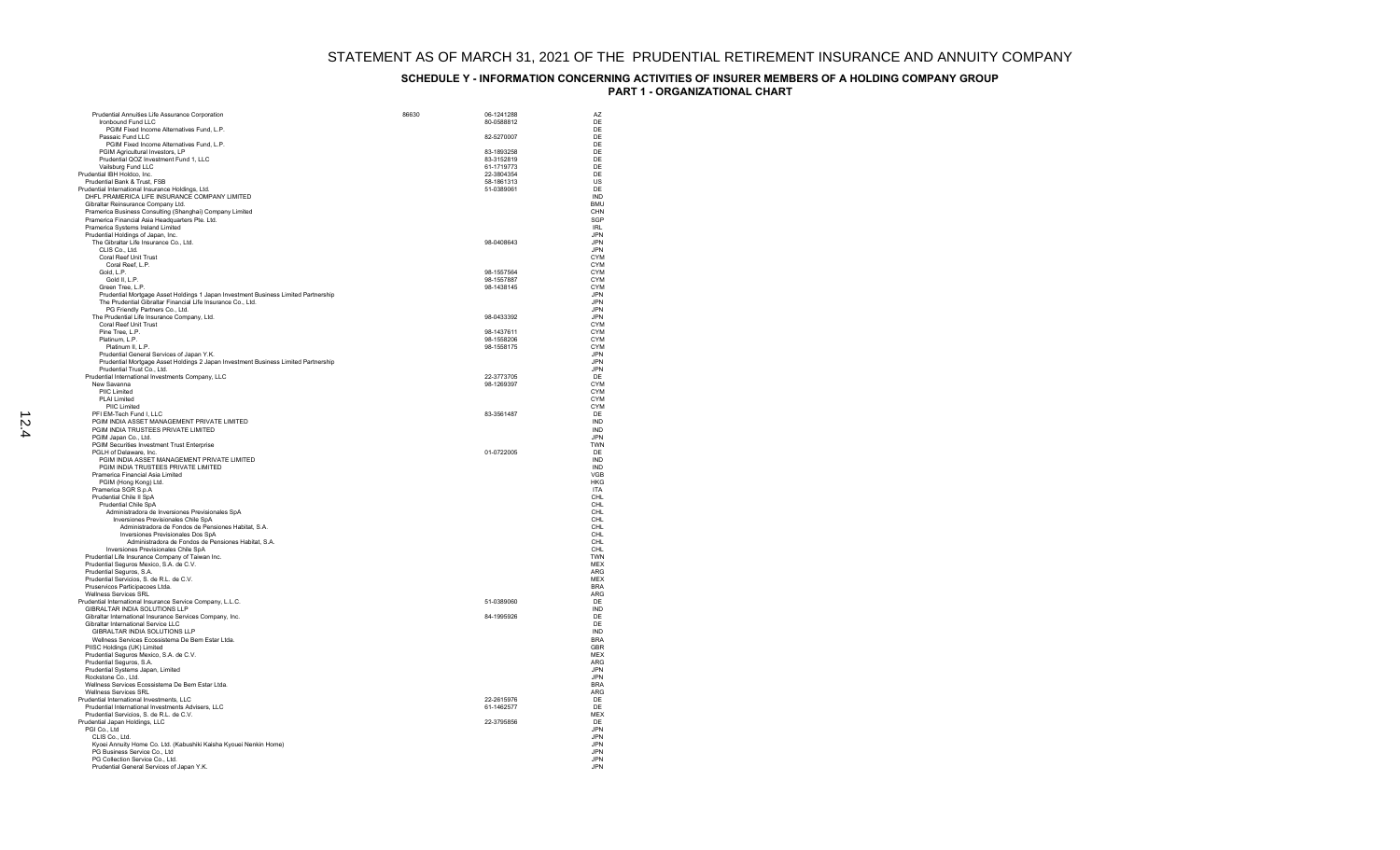| Prudential Annuities Life Assurance Corporation                                                                                 | 86630 | 06-1241288               | AZ                       |
|---------------------------------------------------------------------------------------------------------------------------------|-------|--------------------------|--------------------------|
| Ironbound Fund LLC<br>PGIM Fixed Income Alternatives Fund, L.P.                                                                 |       | 80-0588812               | DE<br>DE                 |
| Passaic Fund LLC                                                                                                                |       | 82-5270007               | DE                       |
| PGIM Fixed Income Alternatives Fund, L.P.                                                                                       |       |                          | DF                       |
| PGIM Agricultural Investors, LP<br>Prudential QOZ Investment Fund 1, LLC                                                        |       | 83-1893258<br>83-3152819 | DE<br>DE                 |
| Vailsburg Fund LLC                                                                                                              |       | 61-1719773               | DE                       |
| Prudential IBH Holdco, Inc.                                                                                                     |       | 22-3804354               | DE                       |
| Prudential Bank & Trust, FSB                                                                                                    |       | 58-1861313               | US                       |
| Prudential International Insurance Holdings, Ltd.<br>DHFL PRAMERICA LIFE INSURANCE COMPANY LIMITED                              |       | 51-0389061               | DF<br>IND                |
| Gibraltar Reinsurance Company Ltd.                                                                                              |       |                          | <b>BMU</b>               |
| Pramerica Business Consulting (Shanghai) Company Limited                                                                        |       |                          | CHN                      |
| Pramerica Financial Asia Headquarters Pte. Ltd.                                                                                 |       |                          | SGP                      |
| Pramerica Systems Ireland Limited                                                                                               |       |                          | IRI<br><b>JPN</b>        |
| Prudential Holdings of Japan, Inc.<br>The Gibraltar Life Insurance Co., Ltd.                                                    |       | 98-0408643               | <b>JPN</b>               |
| CLIS Co., Ltd.                                                                                                                  |       |                          | <b>JPN</b>               |
| Coral Reef Unit Trust                                                                                                           |       |                          | <b>CYM</b>               |
| Coral Reef, L.P.                                                                                                                |       | 98-1557564               | <b>CYM</b>               |
| Gold, L.P.<br>Gold II, L.P.                                                                                                     |       | 98-1557887               | <b>CYM</b><br><b>CYM</b> |
| Green Tree, L.P.                                                                                                                |       | 98-1438145               | CYM                      |
| Prudential Mortgage Asset Holdings 1 Japan Investment Business Limited Partnership                                              |       |                          | <b>JPN</b>               |
| The Prudential Gibraltar Financial Life Insurance Co., Ltd.                                                                     |       |                          | <b>JPN</b>               |
| PG Friendly Partners Co., Ltd.<br>The Prudential Life Insurance Company, Ltd.                                                   |       | 98-0433392               | .JPN<br><b>JPN</b>       |
| Coral Reef Unit Trust                                                                                                           |       |                          | <b>CYM</b>               |
| Pine Tree, L.P.                                                                                                                 |       | 98-1437611               | <b>CYM</b>               |
| Platinum, L.P.                                                                                                                  |       | 98-1558206               | CYM                      |
| Platinum II, L.P.                                                                                                               |       | 98-1558175               | <b>CYM</b>               |
| Prudential General Services of Japan Y.K.<br>Prudential Mortgage Asset Holdings 2 Japan Investment Business Limited Partnership |       |                          | <b>JPN</b><br><b>JPN</b> |
| Prudential Trust Co., Ltd.                                                                                                      |       |                          | <b>JPN</b>               |
| Prudential International Investments Company, LLC                                                                               |       | 22-3773705               | DE                       |
| New Savanna                                                                                                                     |       | 98-1269397               | <b>CYM</b>               |
| PIIC Limited<br>PLAI Limited                                                                                                    |       |                          | <b>CYM</b><br><b>CYM</b> |
| PIIC Limited                                                                                                                    |       |                          | CYM                      |
| PFI EM-Tech Fund I, LLC                                                                                                         |       | 83-3561487               | DE                       |
| PGIM INDIA ASSET MANAGEMENT PRIVATE LIMITED                                                                                     |       |                          | IND                      |
| PGIM INDIA TRUSTEES PRIVATE LIMITED<br>PGIM Japan Co., Ltd.                                                                     |       |                          | <b>IND</b><br><b>JPN</b> |
| PGIM Securities Investment Trust Enterprise                                                                                     |       |                          | <b>TWN</b>               |
| PGLH of Delaware, Inc.                                                                                                          |       | 01-0722005               | DE                       |
| PGIM INDIA ASSET MANAGEMENT PRIVATE LIMITED                                                                                     |       |                          | IND                      |
| PGIM INDIA TRUSTEES PRIVATE LIMITED<br>Pramerica Financial Asia Limited                                                         |       |                          | <b>IND</b><br><b>VGB</b> |
| PGIM (Hong Kong) Ltd.                                                                                                           |       |                          | <b>HKG</b>               |
| Pramerica SGR S.p.A                                                                                                             |       |                          | <b>ITA</b>               |
| Prudential Chile II SpA                                                                                                         |       |                          | CHL                      |
| Prudential Chile SpA<br>Administradora de Inversiones Previsionales SpA                                                         |       |                          | CHL<br>CHI               |
| Inversiones Previsionales Chile SpA                                                                                             |       |                          | CHI                      |
| Administradora de Fondos de Pensiones Habitat, S.A.                                                                             |       |                          | CHL                      |
| Inversiones Previsionales Dos SpA                                                                                               |       |                          | CHL                      |
| Administradora de Fondos de Pensiones Habitat, S.A.<br>Inversiones Previsionales Chile SpA                                      |       |                          | CHL<br>CHI               |
| Prudential Life Insurance Company of Taiwan Inc.                                                                                |       |                          | <b>TWN</b>               |
| Prudential Seguros Mexico, S.A. de C.V.                                                                                         |       |                          | <b>MEX</b>               |
| Prudential Seguros, S.A.                                                                                                        |       |                          | <b>ARG</b>               |
| Prudential Servicios, S. de R.L. de C.V.<br>Pruservicos Participacoes Ltda.                                                     |       |                          | <b>MEX</b><br><b>BRA</b> |
| Wellness Services SRL                                                                                                           |       |                          | ARG                      |
| Prudential International Insurance Service Company, L.L.C.                                                                      |       | 51-0389060               | DE                       |
| GIBRALTAR INDIA SOLUTIONS LLP                                                                                                   |       |                          | <b>IND</b>               |
| Gibraltar International Insurance Services Company, Inc.                                                                        |       | 84-1995926               | DE                       |
| Gibraltar International Service LLC<br>GIBRALTAR INDIA SOLUTIONS LLP                                                            |       |                          | DE<br><b>IND</b>         |
| Wellness Services Ecossistema De Bem Estar Ltda.                                                                                |       |                          | <b>BRA</b>               |
| PIISC Holdings (UK) Limited                                                                                                     |       |                          | <b>GBR</b>               |
| Prudential Seguros Mexico, S.A. de C.V.                                                                                         |       |                          | MEX                      |
| Prudential Seguros, S.A.<br>Prudential Systems Japan, Limited                                                                   |       |                          | <b>ARG</b><br>.IPN       |
| Rockstone Co., Ltd.                                                                                                             |       |                          | <b>JPN</b>               |
| Wellness Services Ecossistema De Bem Estar Ltda.                                                                                |       |                          | <b>BRA</b>               |
| <b>Wellness Services SRL</b>                                                                                                    |       |                          | <b>ARG</b>               |
| Prudential International Investments, LLC<br>Prudential International Investments Advisers, LLC                                 |       | 22-2615976<br>61-1462577 | DE<br>DF                 |
| Prudential Servicios, S. de R.L. de C.V.                                                                                        |       |                          | <b>MEX</b>               |
| Prudential Japan Holdings, LLC                                                                                                  |       | 22-3795856               | DE                       |
| PGI Co., Ltd                                                                                                                    |       |                          | .JPN                     |
| CLIS Co., Ltd.                                                                                                                  |       |                          | <b>JPN</b>               |
| Kyoei Annuity Home Co. Ltd. (Kabushiki Kaisha Kyouei Nenkin Home)<br>PG Business Service Co., Ltd                               |       |                          | <b>JPN</b><br>.IPN       |
| PG Collection Service Co., Ltd.                                                                                                 |       |                          | .JPN                     |
| Prudential General Services of Japan Y.K.                                                                                       |       |                          | <b>JPN</b>               |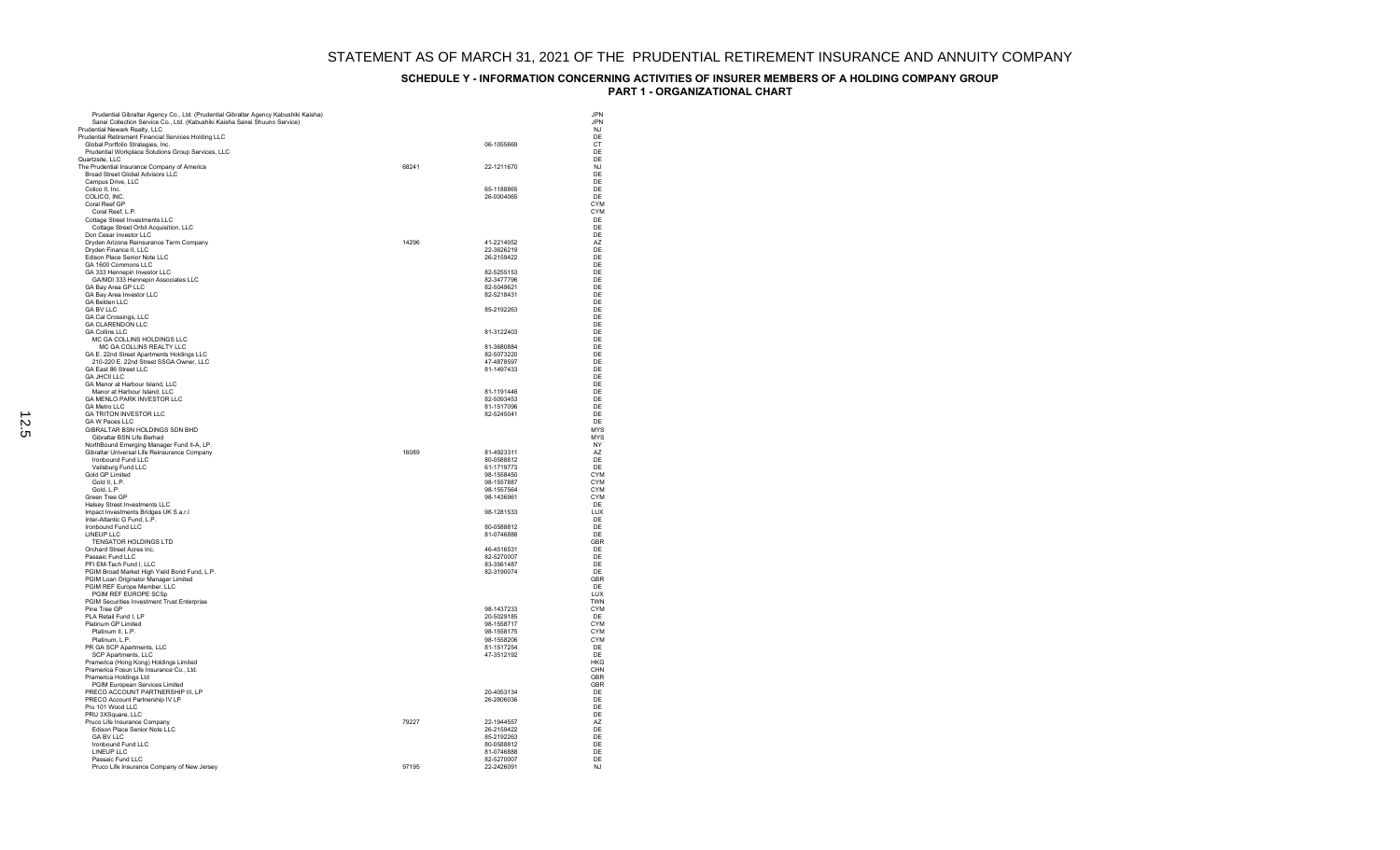| Prudential Gibraltar Agency Co., Ltd. (Prudential Gibraltar Agency Kabushiki Kaisha)<br>Sanei Collection Service Co., Ltd. (Kabushiki Kaisha Sanei Shuuno Service) |       |                          | .JPN<br><b>JPN</b>       |
|--------------------------------------------------------------------------------------------------------------------------------------------------------------------|-------|--------------------------|--------------------------|
| Prudential Newark Realty, LLC                                                                                                                                      |       |                          | N.I                      |
| Prudential Retirement Financial Services Holding LLC                                                                                                               |       |                          | DE                       |
| Global Portfolio Strategies, Inc.                                                                                                                                  |       | 06-1055669               | CT                       |
| Prudential Workplace Solutions Group Services, LLC<br>Quartzsite, LLC                                                                                              |       |                          | DF<br>DE                 |
| The Prudential Insurance Company of America                                                                                                                        | 68241 | 22-1211670               | N.I                      |
| Broad Street Global Advisors LLC                                                                                                                                   |       |                          | DE                       |
| Campus Drive, LLC                                                                                                                                                  |       |                          | DE                       |
| Colico II. Inc.                                                                                                                                                    |       | 65-1188865               | DF                       |
| COLICO, INC.                                                                                                                                                       |       | 26-0004065               | DE                       |
| Coral Reef GP                                                                                                                                                      |       |                          | CYM                      |
| Coral Reef, L.P.<br>Cottage Street Investments LLC                                                                                                                 |       |                          | <b>CYM</b><br>DE         |
| Cottage Street Orbit Acquisition, LLC                                                                                                                              |       |                          | DE                       |
| Don Cesar Investor LLC                                                                                                                                             |       |                          | DE                       |
| Dryden Arizona Reinsurance Term Company                                                                                                                            | 14296 | 41-2214052               | A7                       |
| Dryden Finance II, LLC                                                                                                                                             |       | 22-3626219               | DE                       |
| Edison Place Senior Note LLC                                                                                                                                       |       | 26-2159422               | DE                       |
| GA 1600 Commons LLC<br>GA 333 Hennepin Investor LLC                                                                                                                |       | 82-5255153               | DF<br>DE                 |
| GA/MDI 333 Hennepin Associates LLC                                                                                                                                 |       | 82-3477796               | DE                       |
| GA Bay Area GP LLC                                                                                                                                                 |       | 82-5049621               | DE                       |
| GA Bay Area Investor LLC                                                                                                                                           |       | 82-5218431               | DE                       |
| <b>GA Belden LLC</b>                                                                                                                                               |       |                          | DF                       |
| <b>GA BV LLC</b>                                                                                                                                                   |       | 85-2192263               | DE                       |
| GA Cal Crossings, LLC<br><b>GA CLARENDON LLC</b>                                                                                                                   |       |                          | DF<br>DF                 |
| <b>GA Collins LLC</b>                                                                                                                                              |       | 81-3122403               | DE                       |
| MC GA COLLINS HOLDINGS LLC                                                                                                                                         |       |                          | DF                       |
| MC GA COLLINS REALTY LLC                                                                                                                                           |       | 81-3680884               | DE                       |
| GA E. 22nd Street Apartments Holdings LLC                                                                                                                          |       | 82-5073220               | DE                       |
| 210-220 E. 22nd Street SSGA Owner, LLC                                                                                                                             |       | 47-4878597               | DF                       |
| GA East 86 Street LLC<br>GA JHCILLIC                                                                                                                               |       | 81-1497433               | DE<br>DF                 |
| GA Manor at Harbour Island, LLC                                                                                                                                    |       |                          | DE                       |
| Manor at Harbour Island, LLC                                                                                                                                       |       | 81-1191446               | DE                       |
| GA MENLO PARK INVESTOR LLC                                                                                                                                         |       | 82-5093453               | DE                       |
| GA Metro II C                                                                                                                                                      |       | 81-1517096               | DF                       |
| <b>GA TRITON INVESTOR LLC</b>                                                                                                                                      |       | 82-5245041               | DF                       |
| GA W Paces LLC<br>GIBRALTAR BSN HOLDINGS SDN BHD                                                                                                                   |       |                          | DE<br><b>MYS</b>         |
| Gibraltar BSN Life Berhad                                                                                                                                          |       |                          | <b>MYS</b>               |
| NorthBound Emerging Manager Fund II-A, LP.                                                                                                                         |       |                          | <b>NY</b>                |
| Gibraltar Universal Life Reinsurance Company                                                                                                                       | 16089 | 81-4923311               | A7                       |
| Ironbound Fund LLC                                                                                                                                                 |       | 80-0588812               | DE                       |
| Vailsburg Fund LLC                                                                                                                                                 |       | 61-1719773               | DE                       |
| Gold GP Limited<br>Gold II, L.P.                                                                                                                                   |       | 98-1558450<br>98-1557887 | <b>CYM</b><br><b>CYM</b> |
| Gold, L.P.                                                                                                                                                         |       | 98-1557564               | CYM                      |
| Green Tree GP                                                                                                                                                      |       | 98-1436961               | <b>CYM</b>               |
| Halsey Street Investments LLC                                                                                                                                      |       |                          | DE                       |
| Impact Investments Bridges UK S.a.r.I                                                                                                                              |       | 98-1281533               | LUX                      |
| Inter-Atlantic G Fund, L.P.                                                                                                                                        |       |                          | DE                       |
| Ironbound Fund LLC<br>LINEUP LLC                                                                                                                                   |       | 80-0588812<br>81-0746888 | DE<br>DF                 |
| TENSATOR HOLDINGS LTD                                                                                                                                              |       |                          | GBR                      |
| Orchard Street Acres Inc.                                                                                                                                          |       | 46-4516531               | DF                       |
| Passaic Fund LLC                                                                                                                                                   |       | 82-5270007               | DE                       |
| PFI EM-Tech Fund I, LLC                                                                                                                                            |       | 83-3561487               | DE                       |
| PGIM Broad Market High Yield Bond Fund, L.P.                                                                                                                       |       | 82-3190074               | DE                       |
| PGIM Loan Originator Manager Limited<br>PGIM REF Europe Member, LLC                                                                                                |       |                          | GBR<br>DF                |
| PGIM REF EUROPE SCSp                                                                                                                                               |       |                          | LUX                      |
| PGIM Securities Investment Trust Enterprise                                                                                                                        |       |                          | TWN                      |
| Pine Tree GP                                                                                                                                                       |       | 98-1437233               | <b>CYM</b>               |
| PLA Retail Fund I, LP                                                                                                                                              |       | 20-5029185               | DF                       |
| Platinum GP Limited                                                                                                                                                |       | 98-1558717               | <b>CYM</b>               |
| Platinum II, L.P.<br>Platinum, L.P.                                                                                                                                |       | 98-1558175<br>98-1558206 | <b>CYM</b><br>CYM        |
| PR GA SCP Apartments, LLC                                                                                                                                          |       | 81-1517254               | DF                       |
| SCP Apartments, LLC                                                                                                                                                |       | 47-3512192               | DE                       |
| Pramerica (Hong Kong) Holdings Limited                                                                                                                             |       |                          | <b>HKG</b>               |
| Pramerica Fosun Life Insurance Co., Ltd.                                                                                                                           |       |                          | CHN                      |
| Pramerica Holdings Ltd                                                                                                                                             |       |                          | GBR                      |
| PGIM European Services Limited<br>PRECO ACCOUNT PARTNERSHIP III, LP                                                                                                |       | 20-4053134               | GBR<br>DE                |
| PRECO Account Partnership IV LP                                                                                                                                    |       | 26-2806036               | DE                       |
| Pru 101 Wood LLC                                                                                                                                                   |       |                          | DE                       |
| PRU 3XSquare, LLC                                                                                                                                                  |       |                          | DE                       |
| Pruco Life Insurance Company                                                                                                                                       | 79227 | 22-1944557               | A7                       |
| Edison Place Senior Note LLC                                                                                                                                       |       | 26-2159422               | DE                       |
| <b>GA BV LLC</b>                                                                                                                                                   |       | 85-2192263               | DE<br>DE                 |
| Ironbound Fund LLC<br>LINEUP LLC                                                                                                                                   |       | 80-0588812<br>81-0746888 | DF                       |
| Passaic Fund LLC                                                                                                                                                   |       | 82-5270007               | DF                       |
| Pruco Life Insurance Company of New Jersey                                                                                                                         | 97195 | 22-2426091               | NJ                       |
|                                                                                                                                                                    |       |                          |                          |